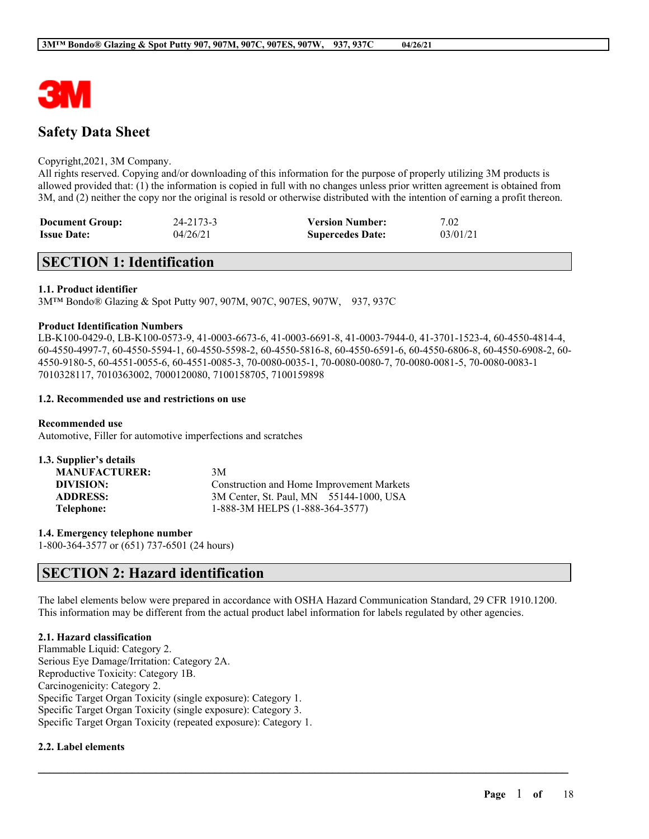

# **Safety Data Sheet**

#### Copyright,2021, 3M Company.

All rights reserved. Copying and/or downloading of this information for the purpose of properly utilizing 3M products is allowed provided that: (1) the information is copied in full with no changes unless prior written agreement is obtained from 3M, and (2) neither the copy nor the original is resold or otherwise distributed with the intention of earning a profit thereon.

| <b>Document Group:</b> | 24-2173-3 | <b>Version Number:</b>  | 7.02     |
|------------------------|-----------|-------------------------|----------|
| <b>Issue Date:</b>     | 04/26/21  | <b>Supercedes Date:</b> | 03/01/21 |

# **SECTION 1: Identification**

### **1.1. Product identifier**

3M™ Bondo® Glazing & Spot Putty 907, 907M, 907C, 907ES, 907W, 937, 937C

#### **Product Identification Numbers**

LB-K100-0429-0, LB-K100-0573-9, 41-0003-6673-6, 41-0003-6691-8, 41-0003-7944-0, 41-3701-1523-4, 60-4550-4814-4, 60-4550-4997-7, 60-4550-5594-1, 60-4550-5598-2, 60-4550-5816-8, 60-4550-6591-6, 60-4550-6806-8, 60-4550-6908-2, 60- 4550-9180-5, 60-4551-0055-6, 60-4551-0085-3, 70-0080-0035-1, 70-0080-0080-7, 70-0080-0081-5, 70-0080-0083-1 7010328117, 7010363002, 7000120080, 7100158705, 7100159898

#### **1.2. Recommended use and restrictions on use**

**Recommended use**

Automotive, Filler for automotive imperfections and scratches

| 1.3. Supplier's details |                                           |
|-------------------------|-------------------------------------------|
| <b>MANUFACTURER:</b>    | 3M                                        |
| DIVISION:               | Construction and Home Improvement Markets |
| <b>ADDRESS:</b>         | 3M Center, St. Paul, MN 55144-1000, USA   |
| Telephone:              | 1-888-3M HELPS (1-888-364-3577)           |

**1.4. Emergency telephone number** 1-800-364-3577 or (651) 737-6501 (24 hours)

# **SECTION 2: Hazard identification**

The label elements below were prepared in accordance with OSHA Hazard Communication Standard, 29 CFR 1910.1200. This information may be different from the actual product label information for labels regulated by other agencies.

 $\mathcal{L}_\mathcal{L} = \mathcal{L}_\mathcal{L} = \mathcal{L}_\mathcal{L} = \mathcal{L}_\mathcal{L} = \mathcal{L}_\mathcal{L} = \mathcal{L}_\mathcal{L} = \mathcal{L}_\mathcal{L} = \mathcal{L}_\mathcal{L} = \mathcal{L}_\mathcal{L} = \mathcal{L}_\mathcal{L} = \mathcal{L}_\mathcal{L} = \mathcal{L}_\mathcal{L} = \mathcal{L}_\mathcal{L} = \mathcal{L}_\mathcal{L} = \mathcal{L}_\mathcal{L} = \mathcal{L}_\mathcal{L} = \mathcal{L}_\mathcal{L}$ 

# **2.1. Hazard classification**

Flammable Liquid: Category 2. Serious Eye Damage/Irritation: Category 2A. Reproductive Toxicity: Category 1B. Carcinogenicity: Category 2. Specific Target Organ Toxicity (single exposure): Category 1. Specific Target Organ Toxicity (single exposure): Category 3. Specific Target Organ Toxicity (repeated exposure): Category 1.

#### **2.2. Label elements**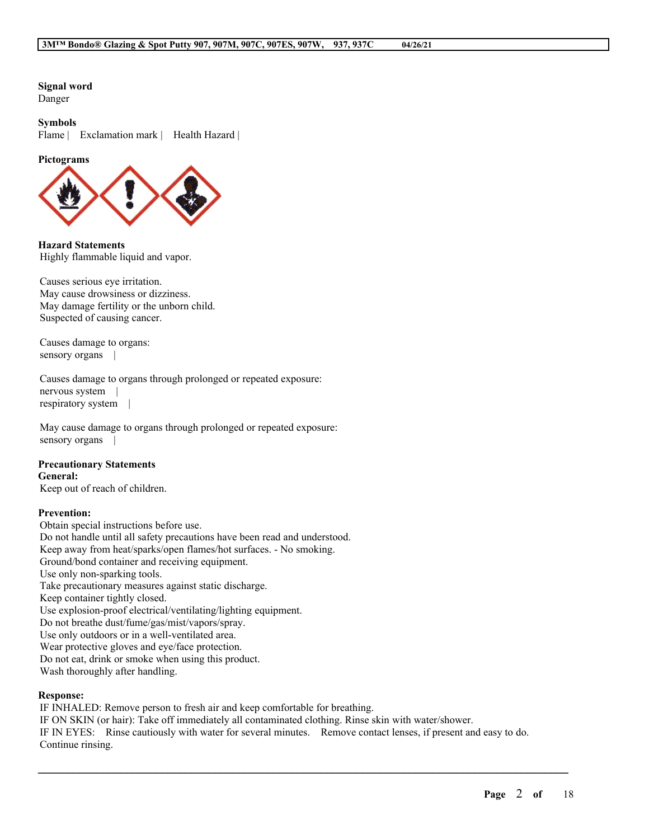**Signal word** Danger

#### **Symbols**

Flame | Exclamation mark | Health Hazard |

#### **Pictograms**



**Hazard Statements** Highly flammable liquid and vapor.

Causes serious eye irritation. May cause drowsiness or dizziness. May damage fertility or the unborn child. Suspected of causing cancer.

Causes damage to organs: sensory organs |

Causes damage to organs through prolonged or repeated exposure: nervous system | respiratory system |

May cause damage to organs through prolonged or repeated exposure: sensory organs

#### **Precautionary Statements General:**

Keep out of reach of children.

#### **Prevention:**

Obtain special instructions before use. Do not handle until all safety precautions have been read and understood. Keep away from heat/sparks/open flames/hot surfaces. - No smoking. Ground/bond container and receiving equipment. Use only non-sparking tools. Take precautionary measures against static discharge. Keep container tightly closed. Use explosion-proof electrical/ventilating/lighting equipment. Do not breathe dust/fume/gas/mist/vapors/spray. Use only outdoors or in a well-ventilated area. Wear protective gloves and eye/face protection. Do not eat, drink or smoke when using this product. Wash thoroughly after handling.

#### **Response:**

IF INHALED: Remove person to fresh air and keep comfortable for breathing. IF ON SKIN (or hair): Take off immediately all contaminated clothing. Rinse skin with water/shower. IF IN EYES: Rinse cautiously with water for several minutes. Remove contact lenses, if present and easy to do. Continue rinsing.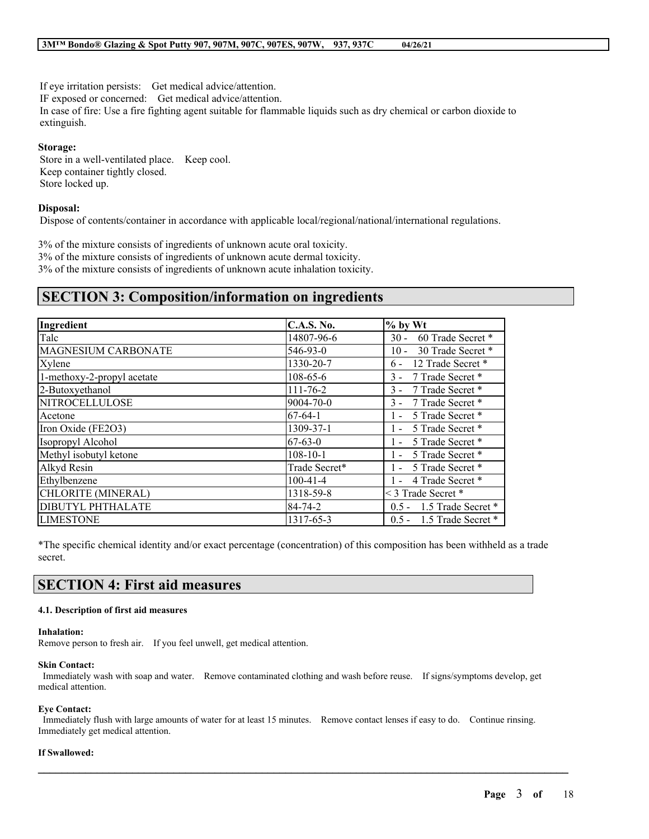If eye irritation persists: Get medical advice/attention.

IF exposed or concerned: Get medical advice/attention.

In case of fire: Use a fire fighting agent suitable for flammable liquids such as dry chemical or carbon dioxide to extinguish.

### **Storage:**

Store in a well-ventilated place. Keep cool. Keep container tightly closed. Store locked up.

### **Disposal:**

Dispose of contents/container in accordance with applicable local/regional/national/international regulations.

3% of the mixture consists of ingredients of unknown acute oral toxicity. 3% of the mixture consists of ingredients of unknown acute dermal toxicity. 3% of the mixture consists of ingredients of unknown acute inhalation toxicity.

# **SECTION 3: Composition/information on ingredients**

| Ingredient                 | <b>C.A.S. No.</b> | $%$ by Wt                   |
|----------------------------|-------------------|-----------------------------|
| Talc                       | 14807-96-6        | $30 -$<br>60 Trade Secret * |
| MAGNESIUM CARBONATE        | 546-93-0          | 30 Trade Secret *<br>$10 -$ |
| Xylene                     | 1330-20-7         | 12 Trade Secret *<br>$6 -$  |
| 1-methoxy-2-propyl acetate | $108 - 65 - 6$    | 7 Trade Secret *<br>$3 -$   |
| 2-Butoxyethanol            | $111 - 76 - 2$    | 7 Trade Secret *<br>$3 -$   |
| <b>NITROCELLULOSE</b>      | 9004-70-0         | 7 Trade Secret *<br>$3 -$   |
| Acetone                    | $67 - 64 - 1$     | 5 Trade Secret *<br>$1 -$   |
| Iron Oxide (FE2O3)         | 1309-37-1         | 5 Trade Secret *<br>$1 -$   |
| Isopropyl Alcohol          | $67 - 63 - 0$     | 5 Trade Secret *            |
| Methyl isobutyl ketone     | $108 - 10 - 1$    | 5 Trade Secret *<br>$1 -$   |
| Alkyd Resin                | Trade Secret*     | 5 Trade Secret *<br>$1 -$   |
| Ethylbenzene               | $100 - 41 - 4$    | 4 Trade Secret *<br>$1 -$   |
| CHLORITE (MINERAL)         | 1318-59-8         | < 3 Trade Secret *          |
| DIBUTYL PHTHALATE          | 84-74-2           | $0.5 - 1.5$ Trade Secret *  |
| <b>LIMESTONE</b>           | 1317-65-3         | $0.5 - 1.5$ Trade Secret *  |

\*The specific chemical identity and/or exact percentage (concentration) of this composition has been withheld as a trade secret.

# **SECTION 4: First aid measures**

#### **4.1. Description of first aid measures**

#### **Inhalation:**

Remove person to fresh air. If you feel unwell, get medical attention.

#### **Skin Contact:**

Immediately wash with soap and water. Remove contaminated clothing and wash before reuse. If signs/symptoms develop, get medical attention.

#### **Eye Contact:**

Immediately flush with large amounts of water for at least 15 minutes. Remove contact lenses if easy to do. Continue rinsing. Immediately get medical attention.

 $\mathcal{L}_\mathcal{L} = \mathcal{L}_\mathcal{L} = \mathcal{L}_\mathcal{L} = \mathcal{L}_\mathcal{L} = \mathcal{L}_\mathcal{L} = \mathcal{L}_\mathcal{L} = \mathcal{L}_\mathcal{L} = \mathcal{L}_\mathcal{L} = \mathcal{L}_\mathcal{L} = \mathcal{L}_\mathcal{L} = \mathcal{L}_\mathcal{L} = \mathcal{L}_\mathcal{L} = \mathcal{L}_\mathcal{L} = \mathcal{L}_\mathcal{L} = \mathcal{L}_\mathcal{L} = \mathcal{L}_\mathcal{L} = \mathcal{L}_\mathcal{L}$ 

#### **If Swallowed:**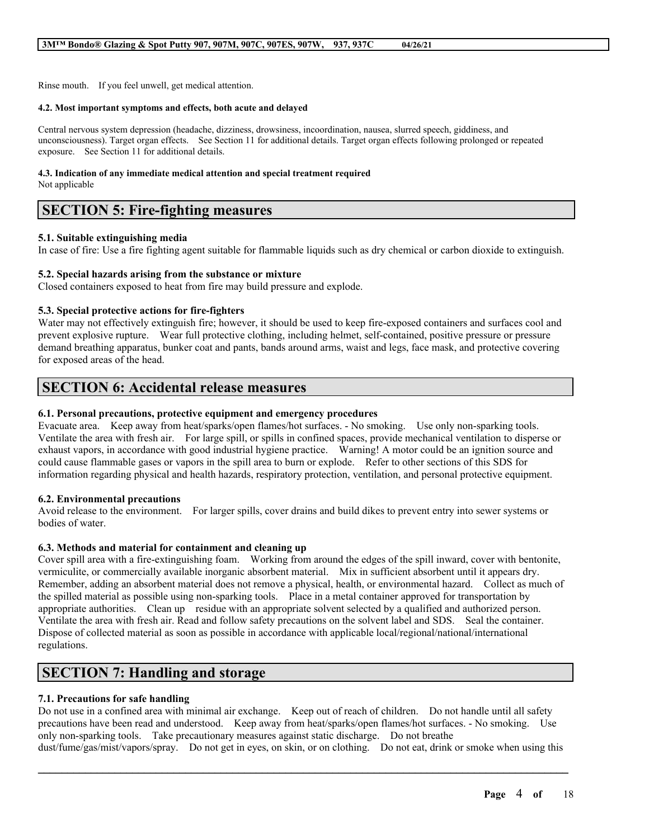Rinse mouth. If you feel unwell, get medical attention.

#### **4.2. Most important symptoms and effects, both acute and delayed**

Central nervous system depression (headache, dizziness, drowsiness, incoordination, nausea, slurred speech, giddiness, and unconsciousness). Target organ effects. See Section 11 for additional details. Target organ effects following prolonged or repeated exposure. See Section 11 for additional details.

#### **4.3. Indication of any immediate medical attention and special treatment required**

Not applicable

# **SECTION 5: Fire-fighting measures**

### **5.1. Suitable extinguishing media**

In case of fire: Use a fire fighting agent suitable for flammable liquids such as dry chemical or carbon dioxide to extinguish.

# **5.2. Special hazards arising from the substance or mixture**

Closed containers exposed to heat from fire may build pressure and explode.

# **5.3. Special protective actions for fire-fighters**

Water may not effectively extinguish fire; however, it should be used to keep fire-exposed containers and surfaces cool and prevent explosive rupture. Wear full protective clothing, including helmet, self-contained, positive pressure or pressure demand breathing apparatus, bunker coat and pants, bands around arms, waist and legs, face mask, and protective covering for exposed areas of the head.

# **SECTION 6: Accidental release measures**

### **6.1. Personal precautions, protective equipment and emergency procedures**

Evacuate area. Keep away from heat/sparks/open flames/hot surfaces. - No smoking. Use only non-sparking tools. Ventilate the area with fresh air. For large spill, or spills in confined spaces, provide mechanical ventilation to disperse or exhaust vapors, in accordance with good industrial hygiene practice. Warning! A motor could be an ignition source and could cause flammable gases or vapors in the spill area to burn or explode. Refer to other sections of this SDS for information regarding physical and health hazards, respiratory protection, ventilation, and personal protective equipment.

## **6.2. Environmental precautions**

Avoid release to the environment. For larger spills, cover drains and build dikes to prevent entry into sewer systems or bodies of water.

## **6.3. Methods and material for containment and cleaning up**

Cover spill area with a fire-extinguishing foam. Working from around the edges of the spill inward, cover with bentonite, vermiculite, or commercially available inorganic absorbent material. Mix in sufficient absorbent until it appears dry. Remember, adding an absorbent material does not remove a physical, health, or environmental hazard. Collect as much of the spilled material as possible using non-sparking tools. Place in a metal container approved for transportation by appropriate authorities. Clean up residue with an appropriate solvent selected by a qualified and authorized person. Ventilate the area with fresh air. Read and follow safety precautions on the solvent label and SDS. Seal the container. Dispose of collected material as soon as possible in accordance with applicable local/regional/national/international regulations.

# **SECTION 7: Handling and storage**

## **7.1. Precautions for safe handling**

Do not use in a confined area with minimal air exchange. Keep out of reach of children. Do not handle until all safety precautions have been read and understood. Keep away from heat/sparks/open flames/hot surfaces. - No smoking. Use only non-sparking tools. Take precautionary measures against static discharge. Do not breathe dust/fume/gas/mist/vapors/spray. Do not get in eyes, on skin, or on clothing. Do not eat, drink or smoke when using this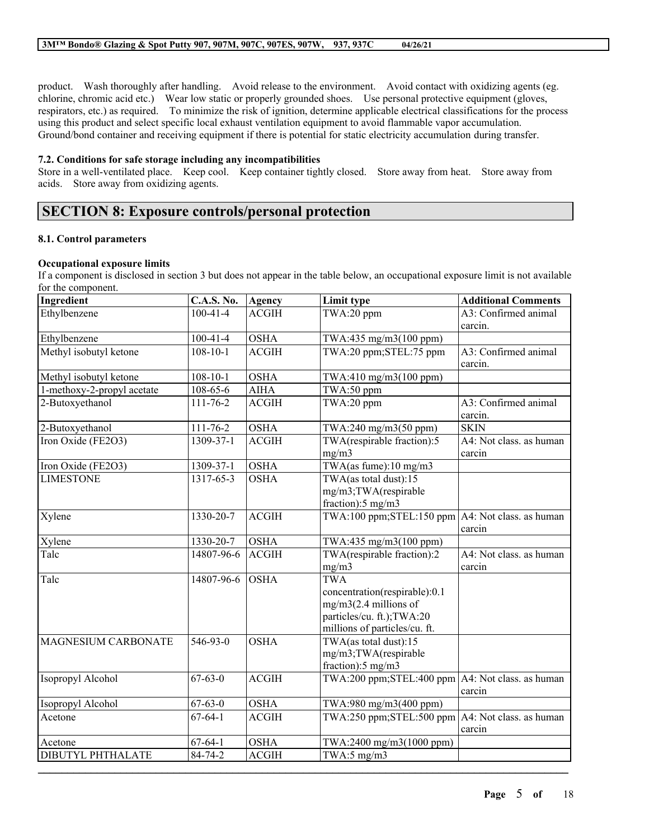product. Wash thoroughly after handling. Avoid release to the environment. Avoid contact with oxidizing agents (eg. chlorine, chromic acid etc.) Wear low static or properly grounded shoes. Use personal protective equipment (gloves, respirators, etc.) as required. To minimize the risk of ignition, determine applicable electrical classifications for the process using this product and select specific local exhaust ventilation equipment to avoid flammable vapor accumulation. Ground/bond container and receiving equipment if there is potential for static electricity accumulation during transfer.

#### **7.2. Conditions for safe storage including any incompatibilities**

Store in a well-ventilated place. Keep cool. Keep container tightly closed. Store away from heat. Store away from acids. Store away from oxidizing agents.

# **SECTION 8: Exposure controls/personal protection**

## **8.1. Control parameters**

#### **Occupational exposure limits**

If a component is disclosed in section 3 but does not appear in the table below, an occupational exposure limit is not available for the component.

| $100 - 41 - 4$<br>TWA:20 ppm<br><b>ACGIH</b><br>carcin.<br><b>OSHA</b><br>Ethylbenzene<br>$100 - 41 - 4$<br>TWA:435 mg/m3(100 ppm)<br>Methyl isobutyl ketone<br>$108 - 10 - 1$<br><b>ACGIH</b><br>TWA:20 ppm;STEL:75 ppm<br>carcin.<br><b>OSHA</b><br>Methyl isobutyl ketone<br>$108 - 10 - 1$<br>TWA:410 mg/m3(100 ppm)<br>1-methoxy-2-propyl acetate<br>$108 - 65 - 6$<br><b>AIHA</b><br>TWA:50 ppm<br>2-Butoxyethanol<br>111-76-2<br>ACGIH<br>TWA:20 ppm<br>carcin.<br>2-Butoxyethanol<br>111-76-2<br><b>OSHA</b><br><b>SKIN</b><br>TWA:240 mg/m3(50 ppm)<br>Iron Oxide (FE2O3)<br>1309-37-1<br>TWA(respirable fraction):5<br><b>ACGIH</b><br>mg/m3<br>carcin<br>TWA(as fume):10 mg/m3<br><b>OSHA</b><br>Iron Oxide (FE2O3)<br>1309-37-1<br><b>LIMESTONE</b><br>TWA(as total dust):15<br>1317-65-3<br><b>OSHA</b><br>mg/m3;TWA(respirable<br>fraction):5 mg/m3<br><b>ACGIH</b><br>1330-20-7<br>TWA:100 ppm; STEL:150 ppm $AA$ : Not class. as human<br>Xylene<br>carcin<br>Xylene<br><b>OSHA</b><br>TWA:435 mg/m3(100 ppm)<br>1330-20-7<br>TWA(respirable fraction):2<br>14807-96-6<br>Talc<br><b>ACGIH</b><br>mg/m3<br>carcin<br><b>OSHA</b><br><b>TWA</b><br>Talc<br>14807-96-6<br>concentration(respirable):0.1<br>$mg/m3(2.4$ millions of<br>particles/cu. ft.); TWA:20<br>millions of particles/cu. ft.<br>TWA(as total dust):15<br>MAGNESIUM CARBONATE<br>546-93-0<br><b>OSHA</b><br>mg/m3;TWA(respirable<br>fraction):5 mg/m3<br>$67 - 63 - 0$<br><b>ACGIH</b><br>TWA:200 ppm; STEL:400 ppm $AA$ : Not class. as human<br>Isopropyl Alcohol<br>carcin<br><b>OSHA</b><br>Isopropyl Alcohol<br>$67 - 63 - 0$<br>TWA:980 mg/m3(400 ppm)<br>$67 - 64 - 1$<br><b>ACGIH</b><br>TWA:250 ppm; STEL:500 ppm $AA$ : Not class. as human<br>Acetone<br>carcin | Ingredient   | <b>C.A.S. No.</b> | Agency      | Limit type               | <b>Additional Comments</b> |
|--------------------------------------------------------------------------------------------------------------------------------------------------------------------------------------------------------------------------------------------------------------------------------------------------------------------------------------------------------------------------------------------------------------------------------------------------------------------------------------------------------------------------------------------------------------------------------------------------------------------------------------------------------------------------------------------------------------------------------------------------------------------------------------------------------------------------------------------------------------------------------------------------------------------------------------------------------------------------------------------------------------------------------------------------------------------------------------------------------------------------------------------------------------------------------------------------------------------------------------------------------------------------------------------------------------------------------------------------------------------------------------------------------------------------------------------------------------------------------------------------------------------------------------------------------------------------------------------------------------------------------------------------------------------------------------------------------------------------------------------------------------|--------------|-------------------|-------------|--------------------------|----------------------------|
|                                                                                                                                                                                                                                                                                                                                                                                                                                                                                                                                                                                                                                                                                                                                                                                                                                                                                                                                                                                                                                                                                                                                                                                                                                                                                                                                                                                                                                                                                                                                                                                                                                                                                                                                                              | Ethylbenzene |                   |             |                          | A3: Confirmed animal       |
|                                                                                                                                                                                                                                                                                                                                                                                                                                                                                                                                                                                                                                                                                                                                                                                                                                                                                                                                                                                                                                                                                                                                                                                                                                                                                                                                                                                                                                                                                                                                                                                                                                                                                                                                                              |              |                   |             |                          |                            |
|                                                                                                                                                                                                                                                                                                                                                                                                                                                                                                                                                                                                                                                                                                                                                                                                                                                                                                                                                                                                                                                                                                                                                                                                                                                                                                                                                                                                                                                                                                                                                                                                                                                                                                                                                              |              |                   |             |                          | A3: Confirmed animal       |
|                                                                                                                                                                                                                                                                                                                                                                                                                                                                                                                                                                                                                                                                                                                                                                                                                                                                                                                                                                                                                                                                                                                                                                                                                                                                                                                                                                                                                                                                                                                                                                                                                                                                                                                                                              |              |                   |             |                          |                            |
|                                                                                                                                                                                                                                                                                                                                                                                                                                                                                                                                                                                                                                                                                                                                                                                                                                                                                                                                                                                                                                                                                                                                                                                                                                                                                                                                                                                                                                                                                                                                                                                                                                                                                                                                                              |              |                   |             |                          |                            |
|                                                                                                                                                                                                                                                                                                                                                                                                                                                                                                                                                                                                                                                                                                                                                                                                                                                                                                                                                                                                                                                                                                                                                                                                                                                                                                                                                                                                                                                                                                                                                                                                                                                                                                                                                              |              |                   |             |                          | A3: Confirmed animal       |
|                                                                                                                                                                                                                                                                                                                                                                                                                                                                                                                                                                                                                                                                                                                                                                                                                                                                                                                                                                                                                                                                                                                                                                                                                                                                                                                                                                                                                                                                                                                                                                                                                                                                                                                                                              |              |                   |             |                          |                            |
|                                                                                                                                                                                                                                                                                                                                                                                                                                                                                                                                                                                                                                                                                                                                                                                                                                                                                                                                                                                                                                                                                                                                                                                                                                                                                                                                                                                                                                                                                                                                                                                                                                                                                                                                                              |              |                   |             |                          | A4: Not class. as human    |
|                                                                                                                                                                                                                                                                                                                                                                                                                                                                                                                                                                                                                                                                                                                                                                                                                                                                                                                                                                                                                                                                                                                                                                                                                                                                                                                                                                                                                                                                                                                                                                                                                                                                                                                                                              |              |                   |             |                          |                            |
|                                                                                                                                                                                                                                                                                                                                                                                                                                                                                                                                                                                                                                                                                                                                                                                                                                                                                                                                                                                                                                                                                                                                                                                                                                                                                                                                                                                                                                                                                                                                                                                                                                                                                                                                                              |              |                   |             |                          |                            |
|                                                                                                                                                                                                                                                                                                                                                                                                                                                                                                                                                                                                                                                                                                                                                                                                                                                                                                                                                                                                                                                                                                                                                                                                                                                                                                                                                                                                                                                                                                                                                                                                                                                                                                                                                              |              |                   |             |                          |                            |
|                                                                                                                                                                                                                                                                                                                                                                                                                                                                                                                                                                                                                                                                                                                                                                                                                                                                                                                                                                                                                                                                                                                                                                                                                                                                                                                                                                                                                                                                                                                                                                                                                                                                                                                                                              |              |                   |             |                          |                            |
|                                                                                                                                                                                                                                                                                                                                                                                                                                                                                                                                                                                                                                                                                                                                                                                                                                                                                                                                                                                                                                                                                                                                                                                                                                                                                                                                                                                                                                                                                                                                                                                                                                                                                                                                                              |              |                   |             |                          | A4: Not class. as human    |
|                                                                                                                                                                                                                                                                                                                                                                                                                                                                                                                                                                                                                                                                                                                                                                                                                                                                                                                                                                                                                                                                                                                                                                                                                                                                                                                                                                                                                                                                                                                                                                                                                                                                                                                                                              |              |                   |             |                          |                            |
|                                                                                                                                                                                                                                                                                                                                                                                                                                                                                                                                                                                                                                                                                                                                                                                                                                                                                                                                                                                                                                                                                                                                                                                                                                                                                                                                                                                                                                                                                                                                                                                                                                                                                                                                                              |              |                   |             |                          |                            |
|                                                                                                                                                                                                                                                                                                                                                                                                                                                                                                                                                                                                                                                                                                                                                                                                                                                                                                                                                                                                                                                                                                                                                                                                                                                                                                                                                                                                                                                                                                                                                                                                                                                                                                                                                              |              |                   |             |                          |                            |
|                                                                                                                                                                                                                                                                                                                                                                                                                                                                                                                                                                                                                                                                                                                                                                                                                                                                                                                                                                                                                                                                                                                                                                                                                                                                                                                                                                                                                                                                                                                                                                                                                                                                                                                                                              |              |                   |             |                          |                            |
|                                                                                                                                                                                                                                                                                                                                                                                                                                                                                                                                                                                                                                                                                                                                                                                                                                                                                                                                                                                                                                                                                                                                                                                                                                                                                                                                                                                                                                                                                                                                                                                                                                                                                                                                                              |              |                   |             |                          |                            |
|                                                                                                                                                                                                                                                                                                                                                                                                                                                                                                                                                                                                                                                                                                                                                                                                                                                                                                                                                                                                                                                                                                                                                                                                                                                                                                                                                                                                                                                                                                                                                                                                                                                                                                                                                              | Acetone      | $67 - 64 - 1$     | <b>OSHA</b> | TWA:2400 mg/m3(1000 ppm) |                            |
| DIBUTYL PHTHALATE<br>84-74-2<br><b>ACGIH</b><br>TWA:5 $mg/m3$                                                                                                                                                                                                                                                                                                                                                                                                                                                                                                                                                                                                                                                                                                                                                                                                                                                                                                                                                                                                                                                                                                                                                                                                                                                                                                                                                                                                                                                                                                                                                                                                                                                                                                |              |                   |             |                          |                            |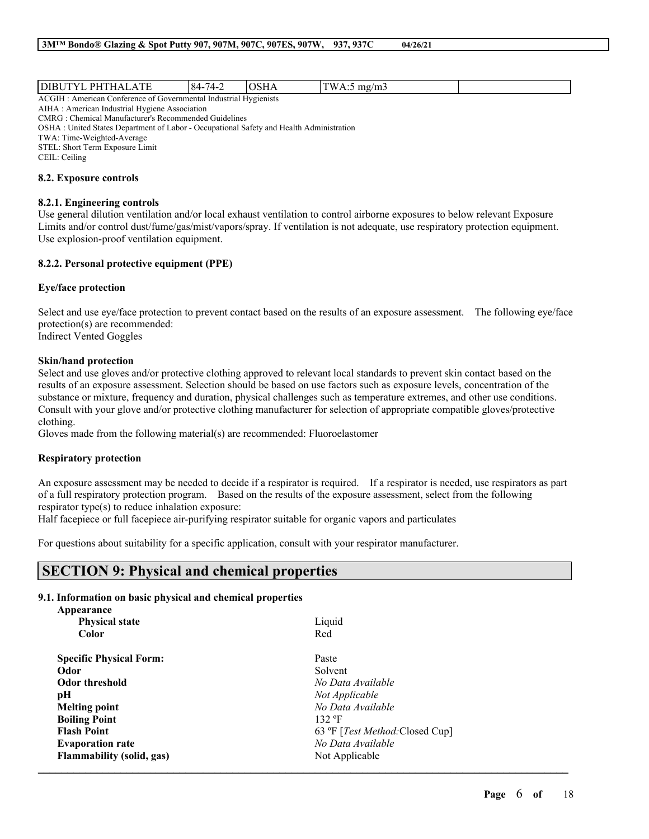| $\mathbf{r}$<br>אוני<br>ΡH                                                        | $\cdots$<br>$\prime$<br>х4-<br>$\leftarrow$ |  | $1 + \alpha$<br>$m\sigma$ |  |  |  |
|-----------------------------------------------------------------------------------|---------------------------------------------|--|---------------------------|--|--|--|
| ACG<br>Hygienists<br>Industrial<br>Conference of<br>Covernmental<br>American<br>. |                                             |  |                           |  |  |  |

AIHA : American Industrial Hygiene Association CMRG : Chemical Manufacturer's Recommended Guidelines OSHA : United States Department of Labor - Occupational Safety and Health Administration TWA: Time-Weighted-Average

STEL: Short Term Exposure Limit

CEIL: Ceiling

#### **8.2. Exposure controls**

### **8.2.1. Engineering controls**

Use general dilution ventilation and/or local exhaust ventilation to control airborne exposures to below relevant Exposure Limits and/or control dust/fume/gas/mist/vapors/spray. If ventilation is not adequate, use respiratory protection equipment. Use explosion-proof ventilation equipment.

### **8.2.2. Personal protective equipment (PPE)**

### **Eye/face protection**

Select and use eye/face protection to prevent contact based on the results of an exposure assessment. The following eye/face protection(s) are recommended: Indirect Vented Goggles

### **Skin/hand protection**

Select and use gloves and/or protective clothing approved to relevant local standards to prevent skin contact based on the results of an exposure assessment. Selection should be based on use factors such as exposure levels, concentration of the substance or mixture, frequency and duration, physical challenges such as temperature extremes, and other use conditions. Consult with your glove and/or protective clothing manufacturer for selection of appropriate compatible gloves/protective clothing.

Gloves made from the following material(s) are recommended: Fluoroelastomer

## **Respiratory protection**

An exposure assessment may be needed to decide if a respirator is required. If a respirator is needed, use respirators as part of a full respiratory protection program. Based on the results of the exposure assessment, select from the following respirator type(s) to reduce inhalation exposure:

 $\mathcal{L}_\mathcal{L} = \mathcal{L}_\mathcal{L} = \mathcal{L}_\mathcal{L} = \mathcal{L}_\mathcal{L} = \mathcal{L}_\mathcal{L} = \mathcal{L}_\mathcal{L} = \mathcal{L}_\mathcal{L} = \mathcal{L}_\mathcal{L} = \mathcal{L}_\mathcal{L} = \mathcal{L}_\mathcal{L} = \mathcal{L}_\mathcal{L} = \mathcal{L}_\mathcal{L} = \mathcal{L}_\mathcal{L} = \mathcal{L}_\mathcal{L} = \mathcal{L}_\mathcal{L} = \mathcal{L}_\mathcal{L} = \mathcal{L}_\mathcal{L}$ 

Half facepiece or full facepiece air-purifying respirator suitable for organic vapors and particulates

For questions about suitability for a specific application, consult with your respirator manufacturer.

# **SECTION 9: Physical and chemical properties**

## **9.1. Information on basic physical and chemical properties**

| Appearance                       |                                          |
|----------------------------------|------------------------------------------|
| <b>Physical state</b>            | Liquid                                   |
| Color                            | Red                                      |
| <b>Specific Physical Form:</b>   | Paste                                    |
| Odor                             | Solvent                                  |
| <b>Odor threshold</b>            | No Data Available                        |
| pН                               | Not Applicable                           |
| <b>Melting point</b>             | No Data Available                        |
| <b>Boiling Point</b>             | 132 °F                                   |
| <b>Flash Point</b>               | 63 °F [ <i>Test Method</i> : Closed Cup] |
| <b>Evaporation rate</b>          | No Data Available                        |
| <b>Flammability (solid, gas)</b> | Not Applicable                           |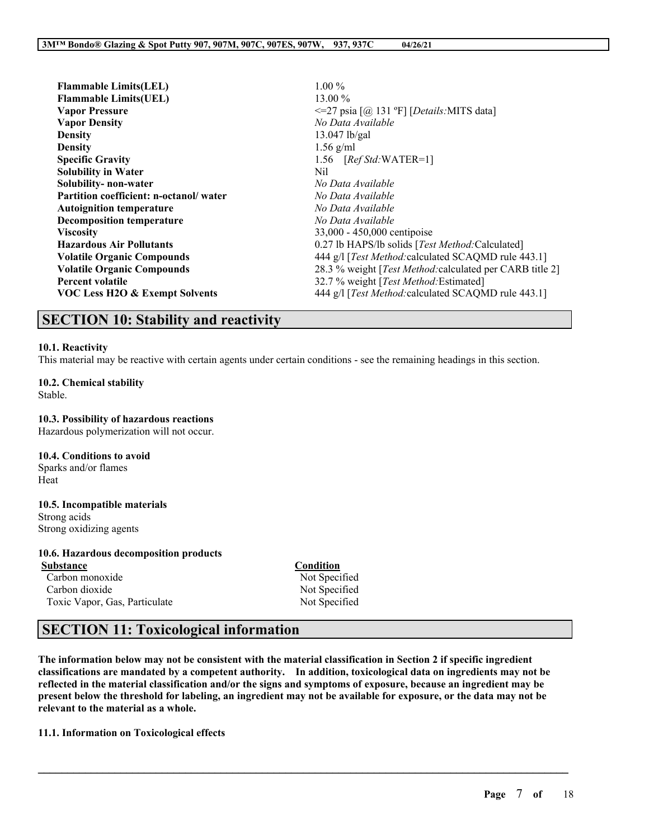| <b>Flammable Limits(LEL)</b>           | $1.00\%$                                                           |
|----------------------------------------|--------------------------------------------------------------------|
| <b>Flammable Limits(UEL)</b>           | $13.00\%$                                                          |
| <b>Vapor Pressure</b>                  | $\leq$ 27 psia $\lceil \omega \rceil$ 131 °F] [Details: MITS data] |
| <b>Vapor Density</b>                   | No Data Available                                                  |
| <b>Density</b>                         | $13.047$ lb/gal                                                    |
| <b>Density</b>                         | $1.56$ g/ml                                                        |
| <b>Specific Gravity</b>                | 1.56 $[RefStd:WATER=1]$                                            |
| <b>Solubility in Water</b>             | Nil                                                                |
| Solubility-non-water                   | No Data Available                                                  |
| Partition coefficient: n-octanol/water | No Data Available                                                  |
| <b>Autoignition temperature</b>        | No Data Available                                                  |
| <b>Decomposition temperature</b>       | No Data Available                                                  |
| <b>Viscosity</b>                       | 33,000 - 450,000 centipoise                                        |
| <b>Hazardous Air Pollutants</b>        | 0.27 lb HAPS/lb solids [Test Method: Calculated]                   |
| <b>Volatile Organic Compounds</b>      | 444 g/l [Test Method: calculated SCAQMD rule 443.1]                |
| <b>Volatile Organic Compounds</b>      | 28.3 % weight [Test Method: calculated per CARB title 2]           |
| <b>Percent volatile</b>                | 32.7 % weight [Test Method: Estimated]                             |
| VOC Less H2O & Exempt Solvents         | 444 g/l [Test Method: calculated SCAQMD rule 443.1]                |
|                                        |                                                                    |

# **SECTION 10: Stability and reactivity**

### **10.1. Reactivity**

This material may be reactive with certain agents under certain conditions - see the remaining headings in this section.

**10.2. Chemical stability** Stable.

**10.3. Possibility of hazardous reactions** Hazardous polymerization will not occur.

**10.4. Conditions to avoid**

Sparks and/or flames Heat

**10.5. Incompatible materials** Strong acids

Strong oxidizing agents

# **10.6. Hazardous decomposition products**

Carbon monoxide Not Specified Carbon dioxide Not Specified Toxic Vapor, Gas, Particulate Not Specified

**Condition** 

# **SECTION 11: Toxicological information**

The information below may not be consistent with the material classification in Section 2 if specific ingredient **classifications are mandated by a competent authority. In addition, toxicological data on ingredients may not be** reflected in the material classification and/or the signs and symptoms of exposure, because an ingredient may be present below the threshold for labeling, an ingredient may not be available for exposure, or the data may not be **relevant to the material as a whole.**

 $\mathcal{L}_\mathcal{L} = \mathcal{L}_\mathcal{L} = \mathcal{L}_\mathcal{L} = \mathcal{L}_\mathcal{L} = \mathcal{L}_\mathcal{L} = \mathcal{L}_\mathcal{L} = \mathcal{L}_\mathcal{L} = \mathcal{L}_\mathcal{L} = \mathcal{L}_\mathcal{L} = \mathcal{L}_\mathcal{L} = \mathcal{L}_\mathcal{L} = \mathcal{L}_\mathcal{L} = \mathcal{L}_\mathcal{L} = \mathcal{L}_\mathcal{L} = \mathcal{L}_\mathcal{L} = \mathcal{L}_\mathcal{L} = \mathcal{L}_\mathcal{L}$ 

**11.1. Information on Toxicological effects**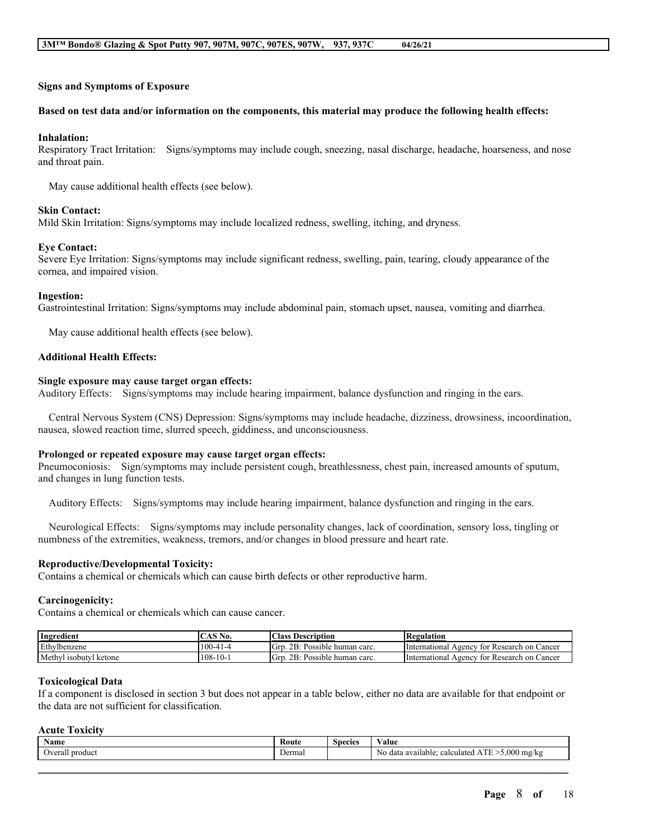#### **Signs and Symptoms of Exposure**

#### Based on test data and/or information on the components, this material may produce the following health effects:

#### **Inhalation:**

Respiratory Tract Irritation: Signs/symptoms may include cough, sneezing, nasal discharge, headache, hoarseness, and nose and throat pain.

May cause additional health effects (see below).

### **Skin Contact:**

Mild Skin Irritation: Signs/symptoms may include localized redness, swelling, itching, and dryness.

#### **Eye Contact:**

Severe Eye Irritation: Signs/symptoms may include significant redness, swelling, pain, tearing, cloudy appearance of the cornea, and impaired vision.

#### **Ingestion:**

Gastrointestinal Irritation: Signs/symptoms may include abdominal pain, stomach upset, nausea, vomiting and diarrhea.

May cause additional health effects (see below).

### **Additional Health Effects:**

#### **Single exposure may cause target organ effects:**

Auditory Effects: Signs/symptoms may include hearing impairment, balance dysfunction and ringing in the ears.

Central Nervous System (CNS) Depression: Signs/symptoms may include headache, dizziness, drowsiness, incoordination, nausea, slowed reaction time, slurred speech, giddiness, and unconsciousness.

#### **Prolonged or repeated exposure may cause target organ effects:**

Pneumoconiosis: Sign/symptoms may include persistent cough, breathlessness, chest pain, increased amounts of sputum, and changes in lung function tests.

Auditory Effects: Signs/symptoms may include hearing impairment, balance dysfunction and ringing in the ears.

Neurological Effects: Signs/symptoms may include personality changes, lack of coordination, sensory loss, tingling or numbness of the extremities, weakness, tremors, and/or changes in blood pressure and heart rate.

#### **Reproductive/Developmental Toxicity:**

Contains a chemical or chemicals which can cause birth defects or other reproductive harm.

#### **Carcinogenicity:**

Contains a chemical or chemicals which can cause cancer.

| Ingredient                | CAS N<br>N0.     | Class.<br>: Description                                 | <b>Regulation</b>                                      |
|---------------------------|------------------|---------------------------------------------------------|--------------------------------------------------------|
| Ethylbenzene              | $100-41-4$       | 2B:<br>: Possible human carc.<br>Grp                    | International<br>Cancer<br>≀ for Research on<br>Agencv |
| Methyl<br>1sobutyl ketone | -10-1<br>$108 -$ | 2B:<br>$\mathbf{r}$<br>Possible<br>Grp<br>e human carc. | International<br>Cancer<br>Agencv<br>≀ for Research on |

#### **Toxicological Data**

If a component is disclosed in section 3 but does not appear in a table below, either no data are available for that endpoint or the data are not sufficient for classification.

### **Acute Toxicity**

| Name                            | Route  | $\sim$<br><b>Species</b> | Value                                                                |
|---------------------------------|--------|--------------------------|----------------------------------------------------------------------|
| $\mathbf{u}$<br>Overall product | Dermal |                          | <b>THE</b><br>$>5,000$ mg/kg<br>calculated ATE<br>No data available; |
|                                 |        |                          |                                                                      |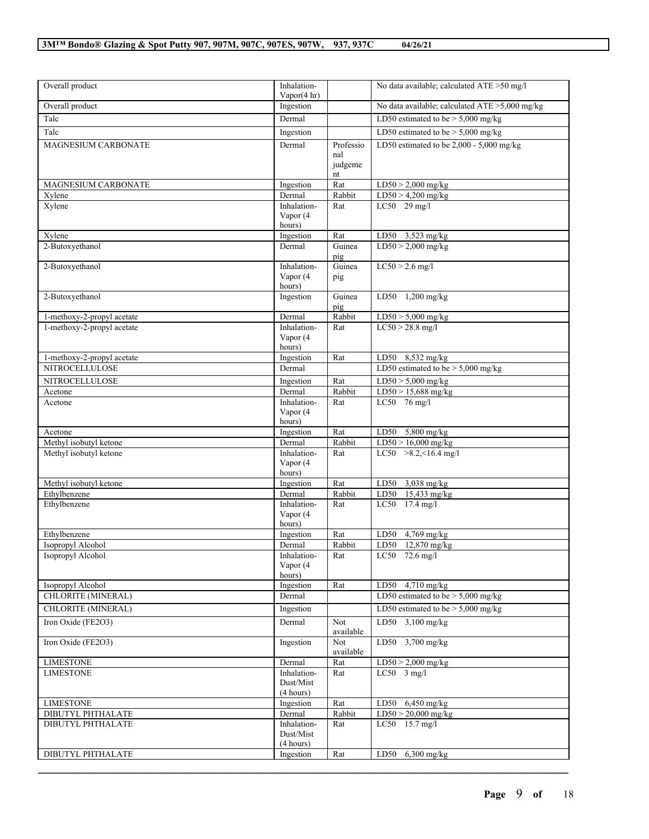| Overall product            | Inhalation-                           |                                   | No data available; calculated $ATE > 50$ mg/l     |
|----------------------------|---------------------------------------|-----------------------------------|---------------------------------------------------|
| Overall product            | Vapor $(4 \text{ hr})$<br>Ingestion   |                                   | No data available; calculated $ATE > 5,000$ mg/kg |
| Talc                       | Dermal                                |                                   | LD50 estimated to be $> 5,000$ mg/kg              |
| Talc                       | Ingestion                             |                                   | LD50 estimated to be $>$ 5,000 mg/kg              |
| <b>MAGNESIUM CARBONATE</b> | Dermal                                | Professio<br>nal<br>judgeme<br>nt | LD50 estimated to be $2,000 - 5,000$ mg/kg        |
| <b>MAGNESIUM CARBONATE</b> | Ingestion                             | Rat                               | $LD50 > 2,000$ mg/kg                              |
| Xylene                     | Dermal                                | Rabbit                            | $LD50 > 4,200$ mg/kg                              |
| Xylene                     | Inhalation-<br>Vapor (4<br>hours)     | Rat                               | $LC50$ 29 mg/l                                    |
| Xylene                     | Ingestion                             | Rat                               | LD50 3,523 mg/kg                                  |
| 2-Butoxyethanol            | Dermal                                | Guinea<br>pig                     | $LD50 > 2,000$ mg/kg                              |
| 2-Butoxyethanol            | Inhalation-<br>Vapor (4<br>hours)     | Guinea<br>pig                     | $LC50 > 2.6$ mg/l                                 |
| 2-Butoxyethanol            | Ingestion                             | Guinea<br>pig                     | LD50 1,200 mg/kg                                  |
| 1-methoxy-2-propyl acetate | Dermal                                | Rabbit                            | $LD50 > 5,000$ mg/kg                              |
| 1-methoxy-2-propyl acetate | Inhalation-<br>Vapor (4<br>hours)     | Rat                               | $LC50 > 28.8$ mg/l                                |
| 1-methoxy-2-propyl acetate | Ingestion                             | Rat                               | LD50 8,532 mg/kg                                  |
| <b>NITROCELLULOSE</b>      | Dermal                                |                                   | LD50 estimated to be $> 5,000$ mg/kg              |
| NITROCELLULOSE             | Ingestion                             | Rat                               | $LD50 > 5,000$ mg/kg                              |
| Acetone                    | Dermal                                | Rabbit                            | $LD50 > 15,688$ mg/kg                             |
| Acetone                    | Inhalation-<br>Vapor (4<br>hours)     | Rat                               | LC50 $76$ mg/l                                    |
| Acetone                    | Ingestion                             | Rat                               | LD50 $5,800$ mg/kg                                |
| Methyl isobutyl ketone     | Dermal                                | Rabbit                            | $LD50 > 16,000$ mg/kg                             |
| Methyl isobutyl ketone     | Inhalation-<br>Vapor (4<br>hours)     | Rat                               | LC50 $>8.2, 16.4$ mg/l                            |
| Methyl isobutyl ketone     | Ingestion                             | Rat                               | LD50 $3,038$ mg/kg                                |
| Ethylbenzene               | Dermal                                | Rabbit                            | LD50 15,433 mg/kg                                 |
| Ethylbenzene               | Inhalation-<br>Vapor (4<br>hours)     | Rat                               | LC50 17.4 mg/l                                    |
| Ethylbenzene               | Ingestion                             | Rat                               | LD50 $4,769$ mg/kg                                |
| Isopropyl Alcohol          | Dermal                                | Rabbit                            | LD50 12,870 mg/kg                                 |
| Isopropyl Alcohol          | Inhalation-<br>Vapor (4<br>hours)     | Rat                               | LC50 72.6 mg/l                                    |
| Isopropyl Alcohol          | Ingestion                             | Rat                               | LD50 4,710 mg/kg                                  |
| CHLORITE (MINERAL)         | Dermal                                |                                   | LD50 estimated to be $> 5,000$ mg/kg              |
| CHLORITE (MINERAL)         | Ingestion                             |                                   | LD50 estimated to be $> 5,000$ mg/kg              |
| Iron Oxide (FE2O3)         | Dermal                                | Not<br>available                  | LD50 3,100 mg/kg                                  |
| Iron Oxide (FE2O3)         | Ingestion                             | Not<br>available                  | LD50 3,700 mg/kg                                  |
| <b>LIMESTONE</b>           | Dermal                                | Rat                               | $LD50 > 2,000$ mg/kg                              |
| <b>LIMESTONE</b>           | Inhalation-<br>Dust/Mist<br>(4 hours) | Rat                               | $LC50$ 3 mg/l                                     |
| <b>LIMESTONE</b>           | Ingestion                             | Rat                               | LD50 6,450 mg/kg                                  |
| DIBUTYL PHTHALATE          | Dermal                                | Rabbit                            | $LD50 > 20,000$ mg/kg                             |
| DIBUTYL PHTHALATE          | Inhalation-<br>Dust/Mist<br>(4 hours) | Rat                               | LC50 15.7 mg/l                                    |
| DIBUTYL PHTHALATE          | Ingestion                             | Rat                               | $6,300$ mg/kg<br>LD50                             |
|                            |                                       |                                   |                                                   |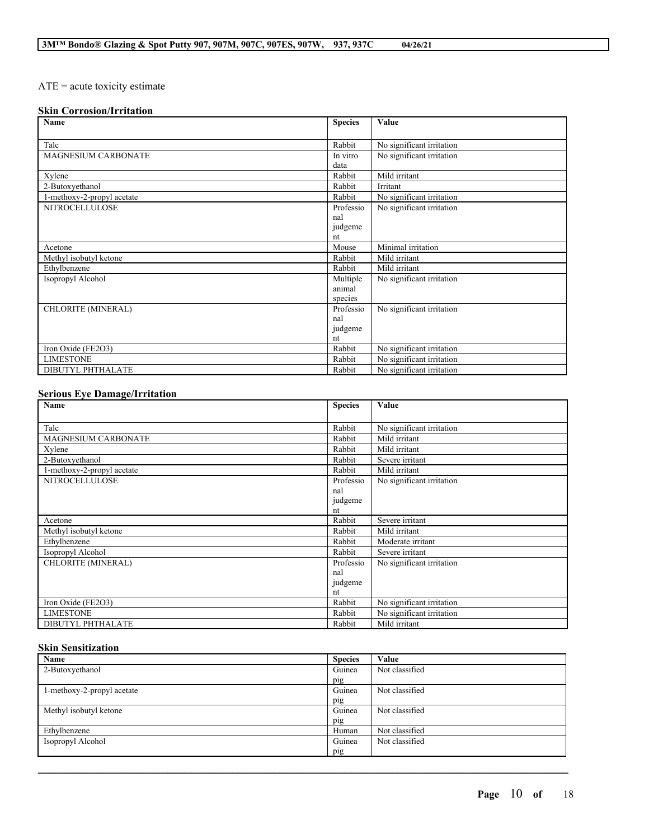# ATE = acute toxicity estimate

# **Skin Corrosion/Irritation**

| Name                       | <b>Species</b> | Value                     |
|----------------------------|----------------|---------------------------|
|                            |                |                           |
| Talc                       | Rabbit         | No significant irritation |
| <b>MAGNESIUM CARBONATE</b> | In vitro       | No significant irritation |
|                            | data           |                           |
| Xylene                     | Rabbit         | Mild irritant             |
| 2-Butoxyethanol            | Rabbit         | Irritant                  |
| 1-methoxy-2-propyl acetate | Rabbit         | No significant irritation |
| <b>NITROCELLULOSE</b>      | Professio      | No significant irritation |
|                            | nal            |                           |
|                            | judgeme        |                           |
|                            | nt             |                           |
| Acetone                    | Mouse          | Minimal irritation        |
| Methyl isobutyl ketone     | Rabbit         | Mild irritant             |
| Ethylbenzene               | Rabbit         | Mild irritant             |
| Isopropyl Alcohol          | Multiple       | No significant irritation |
|                            | animal         |                           |
|                            | species        |                           |
| <b>CHLORITE (MINERAL)</b>  | Professio      | No significant irritation |
|                            | nal            |                           |
|                            | judgeme        |                           |
|                            | nt             |                           |
| Iron Oxide (FE2O3)         | Rabbit         | No significant irritation |
| <b>LIMESTONE</b>           | Rabbit         | No significant irritation |
| DIBUTYL PHTHALATE          | Rabbit         | No significant irritation |

### **Serious Eye Damage/Irritation**

| Name                       | <b>Species</b> | Value                     |
|----------------------------|----------------|---------------------------|
|                            |                |                           |
| Talc                       | Rabbit         | No significant irritation |
| MAGNESIUM CARBONATE        | Rabbit         | Mild irritant             |
| Xylene                     | Rabbit         | Mild irritant             |
| 2-Butoxyethanol            | Rabbit         | Severe irritant           |
| 1-methoxy-2-propyl acetate | Rabbit         | Mild irritant             |
| <b>NITROCELLULOSE</b>      | Professio      | No significant irritation |
|                            | nal            |                           |
|                            | judgeme        |                           |
|                            | nt             |                           |
| Acetone                    | Rabbit         | Severe irritant           |
| Methyl isobutyl ketone     | Rabbit         | Mild irritant             |
| Ethylbenzene               | Rabbit         | Moderate irritant         |
| Isopropyl Alcohol          | Rabbit         | Severe irritant           |
| CHLORITE (MINERAL)         | Professio      | No significant irritation |
|                            | nal            |                           |
|                            | judgeme        |                           |
|                            | nt             |                           |
| Iron Oxide (FE2O3)         | Rabbit         | No significant irritation |
| <b>LIMESTONE</b>           | Rabbit         | No significant irritation |
| <b>DIBUTYL PHTHALATE</b>   | Rabbit         | Mild irritant             |

# **Skin Sensitization**

| Name                       | <b>Species</b> | Value          |
|----------------------------|----------------|----------------|
| 2-Butoxyethanol            | Guinea         | Not classified |
|                            | pig            |                |
| 1-methoxy-2-propyl acetate | Guinea         | Not classified |
|                            | pig            |                |
| Methyl isobutyl ketone     | Guinea         | Not classified |
|                            | pig            |                |
| Ethylbenzene               | Human          | Not classified |
| Isopropyl Alcohol          | Guinea         | Not classified |
|                            | pig            |                |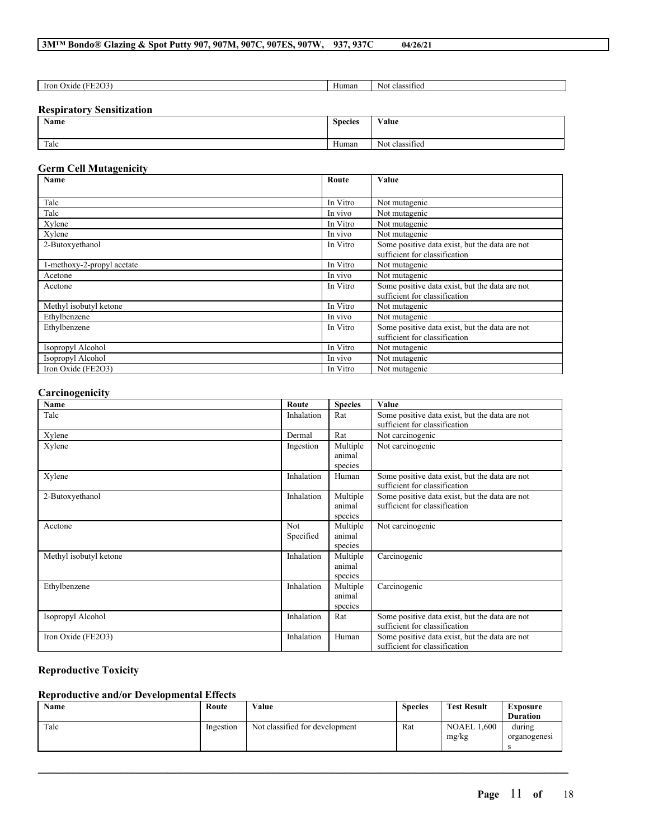# **3M™ Bondo® Glazing & Spot Putty 907, 907M, 907C, 907ES, 907W, 937, 937C 04/26/21**

| $\cdot$ :2001<br><b>Iron</b><br>Ox1d <sub>e</sub><br>FF<br>.<br>. | --<br>Human | .<br>-Nou<br>11100<br>class<br>311 I C |
|-------------------------------------------------------------------|-------------|----------------------------------------|
|                                                                   |             |                                        |

### **Respiratory Sensitization**

| Name | $\sim$<br><b>Species</b> | Value                            |
|------|--------------------------|----------------------------------|
| Talc | $\mathbf{v}$<br>Human    | $\cdot$ $\sim$<br>Not classified |

# **Germ Cell Mutagenicity**

| <b>Name</b><br>Route       |          | Value                                          |
|----------------------------|----------|------------------------------------------------|
|                            |          |                                                |
| Talc                       | In Vitro | Not mutagenic                                  |
| Talc                       | In vivo  | Not mutagenic                                  |
| Xylene                     | In Vitro | Not mutagenic                                  |
| Xylene                     | In vivo  | Not mutagenic                                  |
| 2-Butoxyethanol            | In Vitro | Some positive data exist, but the data are not |
|                            |          | sufficient for classification                  |
| 1-methoxy-2-propyl acetate | In Vitro | Not mutagenic                                  |
| Acetone                    | In vivo  | Not mutagenic                                  |
| Acetone                    | In Vitro | Some positive data exist, but the data are not |
|                            |          | sufficient for classification                  |
| Methyl isobutyl ketone     | In Vitro | Not mutagenic                                  |
| Ethylbenzene               | In vivo  | Not mutagenic                                  |
| Ethylbenzene               | In Vitro | Some positive data exist, but the data are not |
|                            |          | sufficient for classification                  |
| Isopropyl Alcohol          | In Vitro | Not mutagenic                                  |
| Isopropyl Alcohol          | In vivo  | Not mutagenic                                  |
| Iron Oxide (FE2O3)         | In Vitro | Not mutagenic                                  |

# **Carcinogenicity**

| Name                   | Route            | <b>Species</b>                | Value                                                                           |
|------------------------|------------------|-------------------------------|---------------------------------------------------------------------------------|
| Talc                   | Inhalation       | Rat                           | Some positive data exist, but the data are not<br>sufficient for classification |
| Xylene                 | Dermal           | Rat                           | Not carcinogenic                                                                |
| Xylene                 | Ingestion        | Multiple<br>animal<br>species | Not carcinogenic                                                                |
| Xylene                 | Inhalation       | Human                         | Some positive data exist, but the data are not<br>sufficient for classification |
| 2-Butoxyethanol        | Inhalation       | Multiple<br>animal<br>species | Some positive data exist, but the data are not<br>sufficient for classification |
| Acetone                | Not<br>Specified | Multiple<br>animal<br>species | Not carcinogenic                                                                |
| Methyl isobutyl ketone | Inhalation       | Multiple<br>animal<br>species | Carcinogenic                                                                    |
| Ethylbenzene           | Inhalation       | Multiple<br>animal<br>species | Carcinogenic                                                                    |
| Isopropyl Alcohol      | Inhalation       | Rat                           | Some positive data exist, but the data are not<br>sufficient for classification |
| Iron Oxide (FE2O3)     | Inhalation       | Human                         | Some positive data exist, but the data are not<br>sufficient for classification |

# **Reproductive Toxicity**

# **Reproductive and/or Developmental Effects**

| Name | Route     | Value                          | <b>Species</b> | <b>Test Result</b>          | Exposure               |
|------|-----------|--------------------------------|----------------|-----------------------------|------------------------|
|      |           |                                |                |                             | <b>Duration</b>        |
| Talc | Ingestion | Not classified for development | Rat            | <b>NOAEL 1.600</b><br>mg/kg | during<br>organogenesi |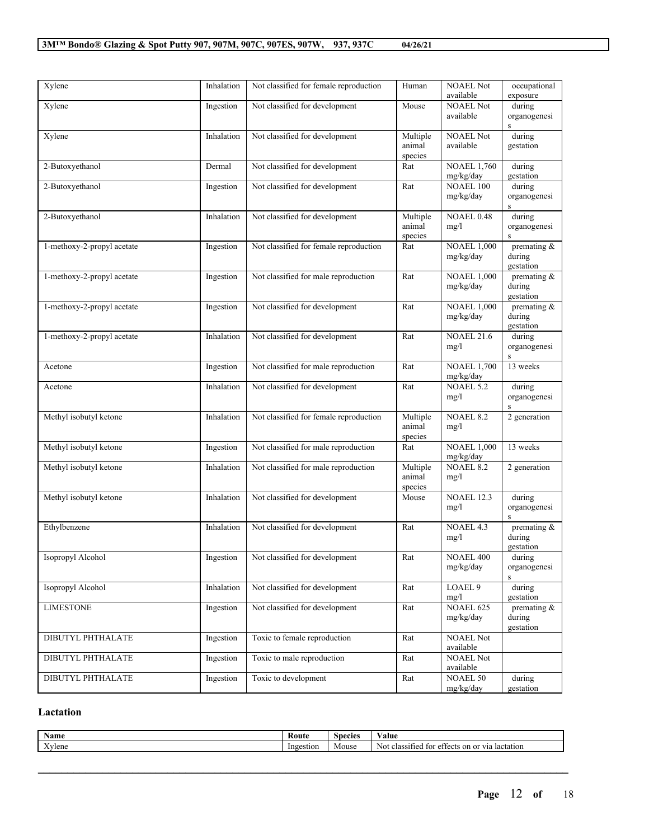| Xylene                     | Inhalation | Not classified for female reproduction | Human                         | <b>NOAEL Not</b><br>available   | occupational<br>exposure              |
|----------------------------|------------|----------------------------------------|-------------------------------|---------------------------------|---------------------------------------|
| Xylene                     | Ingestion  | Not classified for development         | Mouse                         | <b>NOAEL Not</b><br>available   | during<br>organogenesi<br>S           |
| Xylene                     | Inhalation | Not classified for development         | Multiple<br>animal<br>species | <b>NOAEL Not</b><br>available   | during<br>gestation                   |
| 2-Butoxyethanol            | Dermal     | Not classified for development         | Rat                           | <b>NOAEL 1,760</b><br>mg/kg/day | during<br>gestation                   |
| 2-Butoxyethanol            | Ingestion  | Not classified for development         | Rat                           | <b>NOAEL 100</b><br>mg/kg/day   | during<br>organogenesi<br>${\bf S}$   |
| 2-Butoxyethanol            | Inhalation | Not classified for development         | Multiple<br>animal<br>species | <b>NOAEL 0.48</b><br>mg/l       | during<br>organogenesi<br>S           |
| 1-methoxy-2-propyl acetate | Ingestion  | Not classified for female reproduction | Rat                           | <b>NOAEL 1,000</b><br>mg/kg/day | premating $\&$<br>during<br>gestation |
| 1-methoxy-2-propyl acetate | Ingestion  | Not classified for male reproduction   | Rat                           | <b>NOAEL 1,000</b><br>mg/kg/day | premating $\&$<br>during<br>gestation |
| 1-methoxy-2-propyl acetate | Ingestion  | Not classified for development         | Rat                           | <b>NOAEL 1,000</b><br>mg/kg/day | premating $\&$<br>during<br>gestation |
| 1-methoxy-2-propyl acetate | Inhalation | Not classified for development         | Rat                           | <b>NOAEL 21.6</b><br>mg/l       | during<br>organogenesi<br>${\bf S}$   |
| Acetone                    | Ingestion  | Not classified for male reproduction   | Rat                           | <b>NOAEL 1,700</b><br>mg/kg/day | 13 weeks                              |
| Acetone                    | Inhalation | Not classified for development         | Rat                           | <b>NOAEL 5.2</b><br>mg/l        | during<br>organogenesi<br>$\mathbf S$ |
| Methyl isobutyl ketone     | Inhalation | Not classified for female reproduction | Multiple<br>animal<br>species | <b>NOAEL 8.2</b><br>mg/l        | 2 generation                          |
| Methyl isobutyl ketone     | Ingestion  | Not classified for male reproduction   | Rat                           | <b>NOAEL 1,000</b><br>mg/kg/day | 13 weeks                              |
| Methyl isobutyl ketone     | Inhalation | Not classified for male reproduction   | Multiple<br>animal<br>species | <b>NOAEL 8.2</b><br>mg/l        | 2 generation                          |
| Methyl isobutyl ketone     | Inhalation | Not classified for development         | Mouse                         | <b>NOAEL 12.3</b><br>mg/l       | during<br>organogenesi<br>S.          |
| Ethylbenzene               | Inhalation | Not classified for development         | Rat                           | NOAEL 4.3<br>mg/l               | premating $\&$<br>during<br>gestation |
| Isopropyl Alcohol          | Ingestion  | Not classified for development         | Rat                           | <b>NOAEL 400</b><br>mg/kg/day   | during<br>organogenesi<br>S           |
| Isopropyl Alcohol          | Inhalation | Not classified for development         | Rat                           | LOAEL <sub>9</sub><br>mg/l      | during<br>gestation                   |
| <b>LIMESTONE</b>           | Ingestion  | Not classified for development         | Rat                           | <b>NOAEL 625</b><br>mg/kg/day   | premating $\&$<br>during<br>gestation |
| <b>DIBUTYL PHTHALATE</b>   | Ingestion  | Toxic to female reproduction           | Rat                           | <b>NOAEL Not</b><br>available   |                                       |
| <b>DIBUTYL PHTHALATE</b>   | Ingestion  | Toxic to male reproduction             | Rat                           | <b>NOAEL Not</b><br>available   |                                       |
| DIBUTYL PHTHALATE          | Ingestion  | Toxic to development                   | Rat                           | <b>NOAEL 50</b><br>mg/kg/day    | during<br>gestation                   |

# **Lactation**

| $\rightarrow$<br>Name | Koute     | <b>Species</b> | $ -$<br>'alue                                                                                          |
|-----------------------|-----------|----------------|--------------------------------------------------------------------------------------------------------|
| <b>XX</b><br>Avlene   | Ingestion | Mouse          | $\sim$<br>T/T10<br>$\sim$<br>Noi<br>classified<br>lactation<br>†∩r<br>effects<br>$^{0n}$<br>ла.<br>,,, |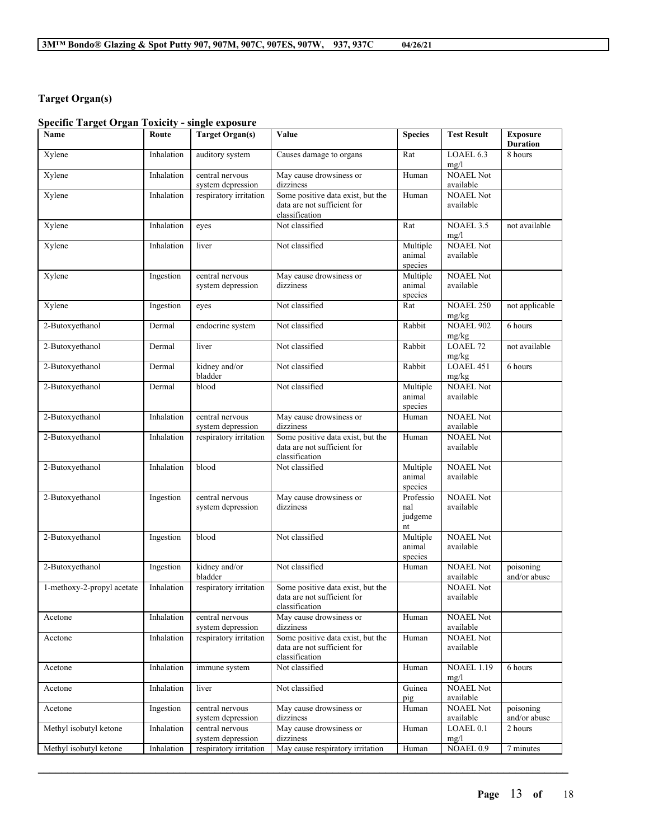# **Target Organ(s)**

# **Specific Target Organ Toxicity - single exposure**

| Name                       | Route      | <b>Target Organ(s)</b>               | Value                                                                              | <b>Species</b>                    | <b>Test Result</b>            | <b>Exposure</b><br><b>Duration</b> |
|----------------------------|------------|--------------------------------------|------------------------------------------------------------------------------------|-----------------------------------|-------------------------------|------------------------------------|
| Xylene                     | Inhalation | auditory system                      | Causes damage to organs                                                            | Rat                               | LOAEL 6.3<br>mg/l             | 8 hours                            |
| Xylene                     | Inhalation | central nervous<br>system depression | May cause drowsiness or<br>dizziness                                               | Human                             | <b>NOAEL Not</b><br>available |                                    |
| Xylene                     | Inhalation | respiratory irritation               | Some positive data exist, but the<br>data are not sufficient for<br>classification | Human                             | <b>NOAEL Not</b><br>available |                                    |
| Xylene                     | Inhalation | eyes                                 | Not classified                                                                     | Rat                               | NOAEL 3.5<br>mg/l             | not available                      |
| Xylene                     | Inhalation | liver                                | Not classified                                                                     | Multiple<br>animal<br>species     | <b>NOAEL Not</b><br>available |                                    |
| Xylene                     | Ingestion  | central nervous<br>system depression | May cause drowsiness or<br>dizziness                                               | Multiple<br>animal<br>species     | <b>NOAEL Not</b><br>available |                                    |
| Xylene                     | Ingestion  | eyes                                 | Not classified                                                                     | Rat                               | <b>NOAEL 250</b><br>mg/kg     | not applicable                     |
| 2-Butoxyethanol            | Dermal     | endocrine system                     | Not classified                                                                     | Rabbit                            | <b>NOAEL 902</b><br>mg/kg     | 6 hours                            |
| 2-Butoxyethanol            | Dermal     | liver                                | Not classified                                                                     | Rabbit                            | LOAEL 72<br>mg/kg             | not available                      |
| 2-Butoxyethanol            | Dermal     | kidney and/or<br>bladder             | Not classified                                                                     | Rabbit                            | LOAEL 451<br>mg/kg            | 6 hours                            |
| 2-Butoxyethanol            | Dermal     | blood                                | Not classified                                                                     | Multiple<br>animal<br>species     | <b>NOAEL Not</b><br>available |                                    |
| 2-Butoxyethanol            | Inhalation | central nervous<br>system depression | May cause drowsiness or<br>dizziness                                               | Human                             | <b>NOAEL Not</b><br>available |                                    |
| 2-Butoxyethanol            | Inhalation | respiratory irritation               | Some positive data exist, but the<br>data are not sufficient for<br>classification | Human                             | <b>NOAEL Not</b><br>available |                                    |
| 2-Butoxyethanol            | Inhalation | blood                                | Not classified                                                                     | Multiple<br>animal<br>species     | <b>NOAEL Not</b><br>available |                                    |
| 2-Butoxyethanol            | Ingestion  | central nervous<br>system depression | May cause drowsiness or<br>dizziness                                               | Professio<br>nal<br>judgeme<br>nt | <b>NOAEL Not</b><br>available |                                    |
| 2-Butoxyethanol            | Ingestion  | blood                                | Not classified                                                                     | Multiple<br>animal<br>species     | <b>NOAEL Not</b><br>available |                                    |
| 2-Butoxyethanol            | Ingestion  | kidney and/or<br>bladder             | Not classified                                                                     | Human                             | <b>NOAEL Not</b><br>available | poisoning<br>and/or abuse          |
| 1-methoxy-2-propyl acetate | Inhalation | respiratory irritation               | Some positive data exist, but the<br>data are not sufficient for<br>classification |                                   | <b>NOAEL Not</b><br>available |                                    |
| Acetone                    | Inhalation | central nervous<br>system depression | May cause drowsiness or<br>dizziness                                               | Human                             | <b>NOAEL Not</b><br>available |                                    |
| Acetone                    | Inhalation | respiratory irritation               | Some positive data exist, but the<br>data are not sufficient for<br>classification | Human                             | <b>NOAEL Not</b><br>available |                                    |
| Acetone                    | Inhalation | immune system                        | Not classified                                                                     | Human                             | <b>NOAEL 1.19</b><br>mg/l     | 6 hours                            |
| Acetone                    | Inhalation | liver                                | Not classified                                                                     | Guinea<br>pig                     | <b>NOAEL Not</b><br>available |                                    |
| Acetone                    | Ingestion  | central nervous<br>system depression | May cause drowsiness or<br>dizziness                                               | Human                             | NOAEL Not<br>available        | poisoning<br>and/or abuse          |
| Methyl isobutyl ketone     | Inhalation | central nervous<br>system depression | May cause drowsiness or<br>dizziness                                               | Human                             | LOAEL 0.1<br>mg/l             | 2 hours                            |
| Methyl isobutyl ketone     | Inhalation | respiratory irritation               | May cause respiratory irritation                                                   | Human                             | NOAEL 0.9                     | 7 minutes                          |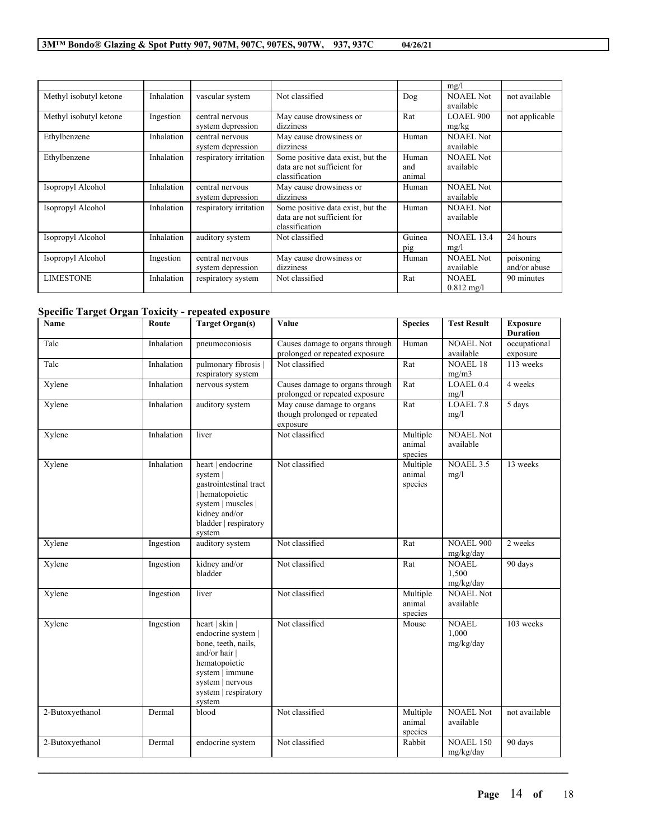|                        |            |                                      |                                                                                    |                        | mg/l                                 |                           |
|------------------------|------------|--------------------------------------|------------------------------------------------------------------------------------|------------------------|--------------------------------------|---------------------------|
| Methyl isobutyl ketone | Inhalation | vascular system                      | Not classified                                                                     | Dog                    | NOAEL Not<br>available               | not available             |
| Methyl isobutyl ketone | Ingestion  | central nervous<br>system depression | May cause drowsiness or<br>dizziness                                               | Rat                    | LOAEL 900<br>mg/kg                   | not applicable            |
| Ethylbenzene           | Inhalation | central nervous<br>system depression | May cause drowsiness or<br>dizziness                                               | Human                  | <b>NOAEL Not</b><br>available        |                           |
| Ethylbenzene           | Inhalation | respiratory irritation               | Some positive data exist, but the<br>data are not sufficient for<br>classification | Human<br>and<br>animal | <b>NOAEL Not</b><br>available        |                           |
| Isopropyl Alcohol      | Inhalation | central nervous<br>system depression | May cause drowsiness or<br>dizziness                                               | Human                  | <b>NOAEL Not</b><br>available        |                           |
| Isopropyl Alcohol      | Inhalation | respiratory irritation               | Some positive data exist, but the<br>data are not sufficient for<br>classification | Human                  | <b>NOAEL Not</b><br>available        |                           |
| Isopropyl Alcohol      | Inhalation | auditory system                      | Not classified                                                                     | Guinea<br>pig          | <b>NOAEL 13.4</b><br>mg/l            | 24 hours                  |
| Isopropyl Alcohol      | Ingestion  | central nervous<br>system depression | May cause drowsiness or<br>dizziness                                               | Human                  | <b>NOAEL Not</b><br>available        | poisoning<br>and/or abuse |
| <b>LIMESTONE</b>       | Inhalation | respiratory system                   | Not classified                                                                     | Rat                    | <b>NOAEL</b><br>$0.812 \text{ mg/l}$ | 90 minutes                |

# **Specific Target Organ Toxicity - repeated exposure**

| Name            | Route      | <b>Target Organ(s)</b>                                                                                                                                                 | Value                                                                  | <b>Species</b>                | <b>Test Result</b>                 | <b>Exposure</b><br><b>Duration</b> |
|-----------------|------------|------------------------------------------------------------------------------------------------------------------------------------------------------------------------|------------------------------------------------------------------------|-------------------------------|------------------------------------|------------------------------------|
| Talc            | Inhalation | pneumoconiosis                                                                                                                                                         | Causes damage to organs through<br>prolonged or repeated exposure      | Human                         | <b>NOAEL Not</b><br>available      | occupational<br>exposure           |
| Talc            | Inhalation | pulmonary fibrosis  <br>respiratory system                                                                                                                             | Not classified                                                         | Rat                           | <b>NOAEL 18</b><br>mg/m3           | 113 weeks                          |
| Xylene          | Inhalation | nervous system                                                                                                                                                         | Causes damage to organs through<br>prolonged or repeated exposure      | Rat                           | LOAEL 0.4<br>mg/l                  | 4 weeks                            |
| Xylene          | Inhalation | auditory system                                                                                                                                                        | May cause damage to organs<br>though prolonged or repeated<br>exposure | Rat                           | LOAEL 7.8<br>mg/l                  | 5 days                             |
| Xylene          | Inhalation | liver                                                                                                                                                                  | Not classified                                                         | Multiple<br>animal<br>species | <b>NOAEL Not</b><br>available      |                                    |
| Xylene          | Inhalation | heart   endocrine<br>system<br>gastrointestinal tract<br>hematopoietic<br>system   muscles  <br>kidney and/or<br>bladder   respiratory<br>system                       | Not classified                                                         | Multiple<br>animal<br>species | <b>NOAEL 3.5</b><br>mg/l           | 13 weeks                           |
| Xylene          | Ingestion  | auditory system                                                                                                                                                        | Not classified                                                         | Rat                           | <b>NOAEL 900</b><br>mg/kg/day      | 2 weeks                            |
| Xylene          | Ingestion  | kidney and/or<br>bladder                                                                                                                                               | Not classified                                                         | Rat                           | <b>NOAEL</b><br>1.500<br>mg/kg/day | 90 days                            |
| Xylene          | Ingestion  | liver                                                                                                                                                                  | Not classified                                                         | Multiple<br>animal<br>species | <b>NOAEL Not</b><br>available      |                                    |
| Xylene          | Ingestion  | heart   skin  <br>endocrine system  <br>bone, teeth, nails,<br>and/or hair  <br>hematopoietic<br>system   immune<br>system   nervous<br>system   respiratory<br>system | Not classified                                                         | Mouse                         | <b>NOAEL</b><br>1,000<br>mg/kg/day | $\overline{103}$ weeks             |
| 2-Butoxyethanol | Dermal     | blood                                                                                                                                                                  | Not classified                                                         | Multiple<br>animal<br>species | <b>NOAEL Not</b><br>available      | not available                      |
| 2-Butoxyethanol | Dermal     | endocrine system                                                                                                                                                       | Not classified                                                         | Rabbit                        | <b>NOAEL 150</b><br>mg/kg/day      | 90 days                            |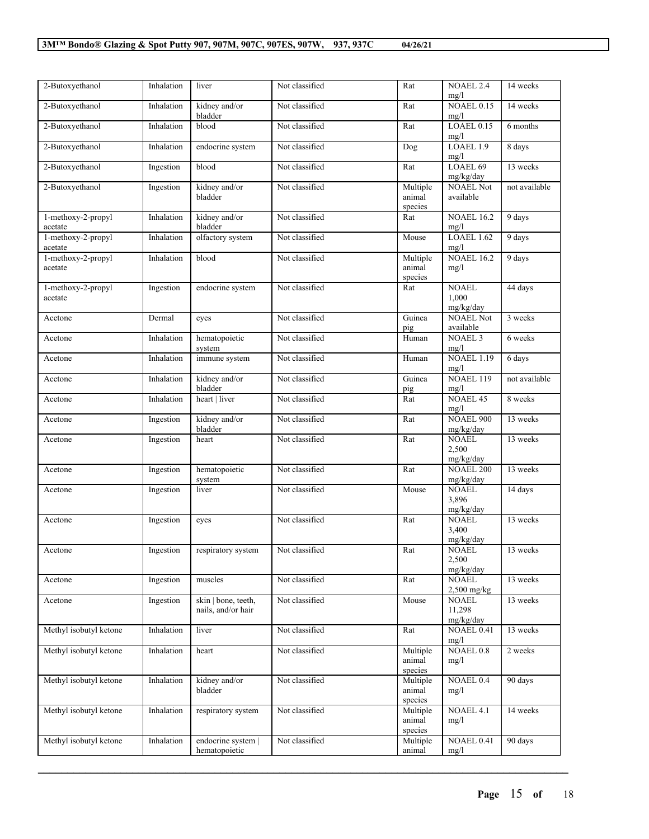| 2-Butoxyethanol               | Inhalation | liver                                     | Not classified | Rat                           | <b>NOAEL 2.4</b><br>mg/l            | 14 weeks      |
|-------------------------------|------------|-------------------------------------------|----------------|-------------------------------|-------------------------------------|---------------|
| 2-Butoxyethanol               | Inhalation | kidney and/or<br>bladder                  | Not classified | Rat                           | <b>NOAEL 0.15</b><br>mg/l           | 14 weeks      |
| 2-Butoxyethanol               | Inhalation | blood                                     | Not classified | Rat                           | $LOAEL$ 0.15<br>mg/l                | 6 months      |
| 2-Butoxyethanol               | Inhalation | endocrine system                          | Not classified | $\overline{Dog}$              | LOAEL 1.9<br>mg/l                   | 8 days        |
| 2-Butoxyethanol               | Ingestion  | blood                                     | Not classified | Rat                           | LOAEL 69<br>mg/kg/day               | 13 weeks      |
| 2-Butoxyethanol               | Ingestion  | kidney and/or<br>bladder                  | Not classified | Multiple<br>animal<br>species | <b>NOAEL Not</b><br>available       | not available |
| 1-methoxy-2-propyl<br>acetate | Inhalation | kidney and/or<br>bladder                  | Not classified | Rat                           | <b>NOAEL 16.2</b><br>mg/l           | 9 days        |
| 1-methoxy-2-propyl<br>acetate | Inhalation | olfactory system                          | Not classified | Mouse                         | $LOAEL$ 1.62<br>mg/l                | 9 days        |
| 1-methoxy-2-propyl<br>acetate | Inhalation | blood                                     | Not classified | Multiple<br>animal<br>species | <b>NOAEL 16.2</b><br>mg/l           | 9 days        |
| 1-methoxy-2-propyl<br>acetate | Ingestion  | endocrine system                          | Not classified | Rat                           | <b>NOAEL</b><br>1,000<br>mg/kg/day  | 44 days       |
| Acetone                       | Dermal     | eyes                                      | Not classified | Guinea<br>pig                 | <b>NOAEL Not</b><br>available       | 3 weeks       |
| Acetone                       | Inhalation | hematopoietic<br>system                   | Not classified | Human                         | <b>NOAEL 3</b><br>mg/l              | 6 weeks       |
| Acetone                       | Inhalation | immune system                             | Not classified | Human                         | <b>NOAEL 1.19</b><br>mg/l           | 6 days        |
| Acetone                       | Inhalation | kidney and/or<br>bladder                  | Not classified | Guinea<br>pig                 | $NOAEL$ 119<br>mg/l                 | not available |
| Acetone                       | Inhalation | heart   liver                             | Not classified | Rat                           | <b>NOAEL 45</b><br>mg/l             | 8 weeks       |
| Acetone                       | Ingestion  | kidney and/or<br>bladder                  | Not classified | Rat                           | <b>NOAEL 900</b><br>mg/kg/day       | 13 weeks      |
| Acetone                       | Ingestion  | heart                                     | Not classified | Rat                           | <b>NOAEL</b><br>2,500<br>mg/kg/day  | 13 weeks      |
| Acetone                       | Ingestion  | hematopoietic<br>system                   | Not classified | Rat                           | <b>NOAEL 200</b><br>mg/kg/day       | 13 weeks      |
| Acetone                       | Ingestion  | liver                                     | Not classified | Mouse                         | <b>NOAEL</b><br>3,896<br>mg/kg/day  | 14 days       |
| Acetone                       | Ingestion  | eyes                                      | Not classified | Rat                           | <b>NOAEL</b><br>3,400<br>mg/kg/day  | 13 weeks      |
| Acetone                       | Ingestion  | respiratory system                        | Not classified | Rat                           | <b>NOAEL</b><br>2,500<br>mg/kg/day  | 13 weeks      |
| Acetone                       | Ingestion  | muscles                                   | Not classified | Rat                           | <b>NOAEL</b><br>$2,500$ mg/kg       | 13 weeks      |
| Acetone                       | Ingestion  | skin   bone, teeth,<br>nails, and/or hair | Not classified | Mouse                         | <b>NOAEL</b><br>11,298<br>mg/kg/day | 13 weeks      |
| Methyl isobutyl ketone        | Inhalation | liver                                     | Not classified | Rat                           | NOAEL 0.41<br>mg/l                  | 13 weeks      |
| Methyl isobutyl ketone        | Inhalation | heart                                     | Not classified | Multiple<br>animal<br>species | <b>NOAEL 0.8</b><br>mg/l            | 2 weeks       |
| Methyl isobutyl ketone        | Inhalation | kidney and/or<br>bladder                  | Not classified | Multiple<br>animal<br>species | <b>NOAEL 0.4</b><br>mg/l            | 90 days       |
| Methyl isobutyl ketone        | Inhalation | respiratory system                        | Not classified | Multiple<br>animal<br>species | NOAEL 4.1<br>mg/l                   | 14 weeks      |
| Methyl isobutyl ketone        | Inhalation | endocrine system  <br>hematopoietic       | Not classified | Multiple<br>animal            | NOAEL 0.41<br>mg/l                  | 90 days       |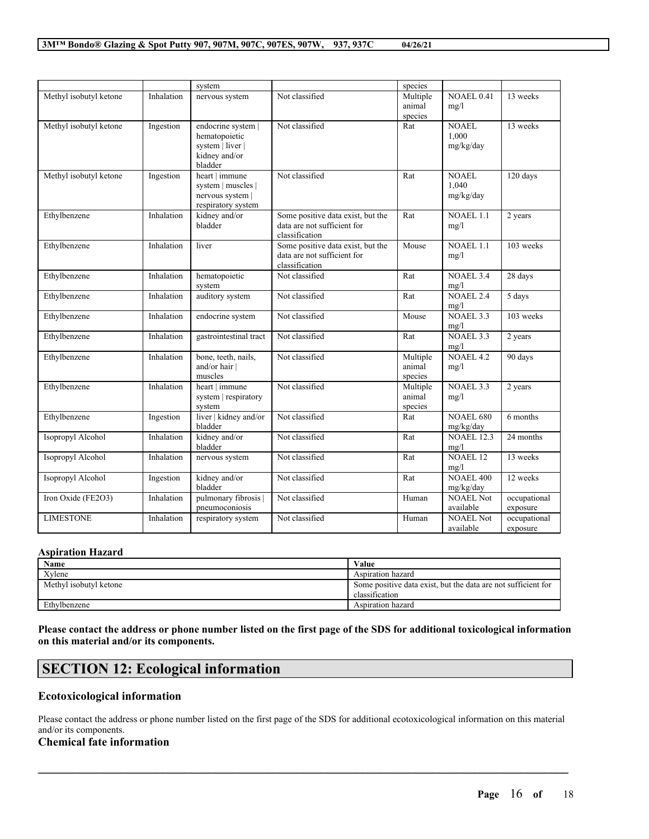|                        |            | system                                                                              |                                                                                    | species                       |                                    |                          |
|------------------------|------------|-------------------------------------------------------------------------------------|------------------------------------------------------------------------------------|-------------------------------|------------------------------------|--------------------------|
| Methyl isobutyl ketone | Inhalation | nervous system                                                                      | Not classified                                                                     | Multiple<br>animal<br>species | NOAEL 0.41<br>mg/l                 | 13 weeks                 |
| Methyl isobutyl ketone | Ingestion  | endocrine system  <br>hematopoietic<br>system   liver  <br>kidney and/or<br>bladder | Not classified                                                                     | Rat                           | <b>NOAEL</b><br>1,000<br>mg/kg/day | 13 weeks                 |
| Methyl isobutyl ketone | Ingestion  | heart   immune<br>system   muscles  <br>nervous system  <br>respiratory system      | Not classified                                                                     | Rat                           | NOAEL<br>1.040<br>mg/kg/day        | 120 days                 |
| Ethylbenzene           | Inhalation | kidney and/or<br>bladder                                                            | Some positive data exist, but the<br>data are not sufficient for<br>classification | Rat                           | <b>NOAEL 1.1</b><br>mg/l           | 2 years                  |
| Ethylbenzene           | Inhalation | liver                                                                               | Some positive data exist, but the<br>data are not sufficient for<br>classification | Mouse                         | <b>NOAEL 1.1</b><br>mg/l           | $103$ weeks              |
| Ethylbenzene           | Inhalation | hematopoietic<br>system                                                             | Not classified                                                                     | Rat                           | <b>NOAEL 3.4</b><br>mg/l           | 28 days                  |
| Ethylbenzene           | Inhalation | auditory system                                                                     | Not classified                                                                     | Rat                           | NOAEL 2.4<br>mg/l                  | 5 days                   |
| Ethylbenzene           | Inhalation | endocrine system                                                                    | Not classified                                                                     | Mouse                         | NOAEL 3.3<br>mg/l                  | 103 weeks                |
| Ethylbenzene           | Inhalation | gastrointestinal tract                                                              | Not classified                                                                     | Rat                           | NOAEL 3.3<br>mg/l                  | 2 years                  |
| Ethylbenzene           | Inhalation | bone, teeth, nails,<br>and/or hair  <br>muscles                                     | Not classified                                                                     | Multiple<br>animal<br>species | NOAEL4.2<br>mg/l                   | 90 days                  |
| Ethylbenzene           | Inhalation | heart   immune<br>system   respiratory<br>system                                    | Not classified                                                                     | Multiple<br>animal<br>species | NOAEL 3.3<br>mg/l                  | 2 years                  |
| Ethylbenzene           | Ingestion  | liver   kidney and/or<br>bladder                                                    | Not classified                                                                     | Rat                           | <b>NOAEL 680</b><br>mg/kg/day      | 6 months                 |
| Isopropyl Alcohol      | Inhalation | kidney and/or<br>bladder                                                            | Not classified                                                                     | Rat                           | <b>NOAEL 12.3</b><br>mg/l          | 24 months                |
| Isopropyl Alcohol      | Inhalation | nervous system                                                                      | Not classified                                                                     | Rat                           | <b>NOAEL 12</b><br>mg/l            | 13 weeks                 |
| Isopropyl Alcohol      | Ingestion  | kidney and/or<br>bladder                                                            | Not classified                                                                     | Rat                           | <b>NOAEL 400</b><br>mg/kg/day      | 12 weeks                 |
| Iron Oxide (FE2O3)     | Inhalation | pulmonary fibrosis  <br>pneumoconiosis                                              | Not classified                                                                     | Human                         | <b>NOAEL Not</b><br>available      | occupational<br>exposure |
| <b>LIMESTONE</b>       | Inhalation | respiratory system                                                                  | Not classified                                                                     | Human                         | <b>NOAEL Not</b><br>available      | occupational<br>exposure |

### **Aspiration Hazard**

| Name                   | Value                                                         |
|------------------------|---------------------------------------------------------------|
| Xvlene                 | Aspiration hazard                                             |
| Methyl isobutyl ketone | Some positive data exist, but the data are not sufficient for |
|                        | classification                                                |
| Ethylbenzene           | Aspiration hazard                                             |

Please contact the address or phone number listed on the first page of the SDS for additional toxicological information **on this material and/or its components.**

# **SECTION 12: Ecological information**

### **Ecotoxicological information**

Please contact the address or phone number listed on the first page of the SDS for additional ecotoxicological information on this material and/or its components.

 $\mathcal{L}_\mathcal{L} = \mathcal{L}_\mathcal{L} = \mathcal{L}_\mathcal{L} = \mathcal{L}_\mathcal{L} = \mathcal{L}_\mathcal{L} = \mathcal{L}_\mathcal{L} = \mathcal{L}_\mathcal{L} = \mathcal{L}_\mathcal{L} = \mathcal{L}_\mathcal{L} = \mathcal{L}_\mathcal{L} = \mathcal{L}_\mathcal{L} = \mathcal{L}_\mathcal{L} = \mathcal{L}_\mathcal{L} = \mathcal{L}_\mathcal{L} = \mathcal{L}_\mathcal{L} = \mathcal{L}_\mathcal{L} = \mathcal{L}_\mathcal{L}$ 

# **Chemical fate information**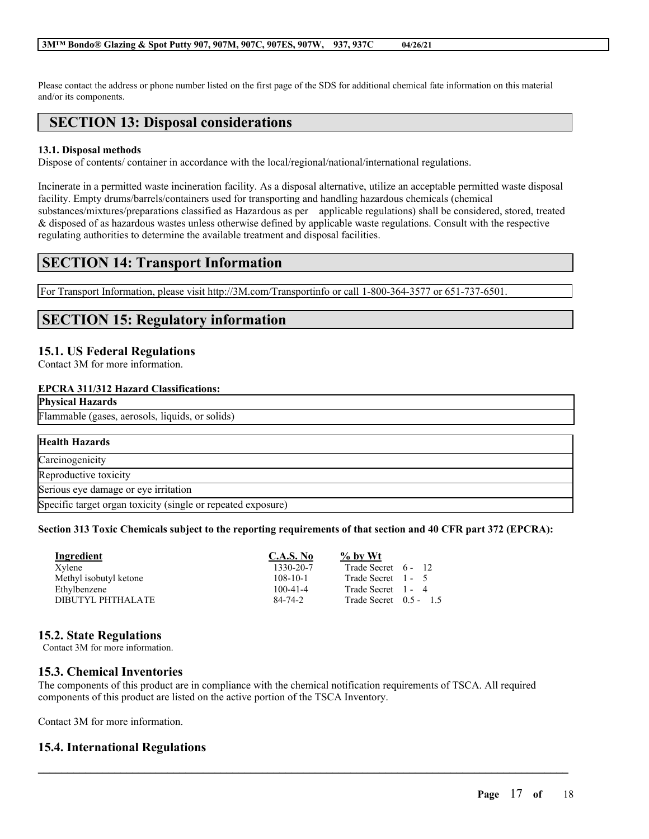Please contact the address or phone number listed on the first page of the SDS for additional chemical fate information on this material and/or its components.

# **SECTION 13: Disposal considerations**

### **13.1. Disposal methods**

Dispose of contents/ container in accordance with the local/regional/national/international regulations.

Incinerate in a permitted waste incineration facility. As a disposal alternative, utilize an acceptable permitted waste disposal facility. Empty drums/barrels/containers used for transporting and handling hazardous chemicals (chemical substances/mixtures/preparations classified as Hazardous as per applicable regulations) shall be considered, stored, treated & disposed of as hazardous wastes unless otherwise defined by applicable waste regulations. Consult with the respective regulating authorities to determine the available treatment and disposal facilities.

# **SECTION 14: Transport Information**

For Transport Information, please visit http://3M.com/Transportinfo or call 1-800-364-3577 or 651-737-6501.

# **SECTION 15: Regulatory information**

## **15.1. US Federal Regulations**

Contact 3M for more information.

#### **EPCRA 311/312 Hazard Classifications:**

**Physical Hazards**

Flammable (gases, aerosols, liquids, or solids)

| <b>Health Hazards</b>                                        |  |
|--------------------------------------------------------------|--|
| Carcinogenicity                                              |  |
| Reproductive toxicity                                        |  |
| Serious eye damage or eye irritation                         |  |
| Specific target organ toxicity (single or repeated exposure) |  |

#### Section 313 Toxic Chemicals subject to the reporting requirements of that section and 40 CFR part 372 (EPCRA):

| Ingredient             | <b>C.A.S. No</b> | $\%$ by Wt               |  |
|------------------------|------------------|--------------------------|--|
| Xvlene                 | 1330-20-7        | Trade Secret 6 - 12      |  |
| Methyl isobutyl ketone | $108 - 10 - 1$   | Trade Secret 1 - 5       |  |
| Ethylbenzene           | $100 - 41 - 4$   | Trade Secret 1 - 4       |  |
| DIBUTYL PHTHALATE      | $84 - 74 - 2$    | Trade Secret $0.5 - 1.5$ |  |

# **15.2. State Regulations**

Contact 3M for more information.

# **15.3. Chemical Inventories**

The components of this product are in compliance with the chemical notification requirements of TSCA. All required components of this product are listed on the active portion of the TSCA Inventory.

 $\mathcal{L}_\mathcal{L} = \mathcal{L}_\mathcal{L} = \mathcal{L}_\mathcal{L} = \mathcal{L}_\mathcal{L} = \mathcal{L}_\mathcal{L} = \mathcal{L}_\mathcal{L} = \mathcal{L}_\mathcal{L} = \mathcal{L}_\mathcal{L} = \mathcal{L}_\mathcal{L} = \mathcal{L}_\mathcal{L} = \mathcal{L}_\mathcal{L} = \mathcal{L}_\mathcal{L} = \mathcal{L}_\mathcal{L} = \mathcal{L}_\mathcal{L} = \mathcal{L}_\mathcal{L} = \mathcal{L}_\mathcal{L} = \mathcal{L}_\mathcal{L}$ 

Contact 3M for more information.

# **15.4. International Regulations**